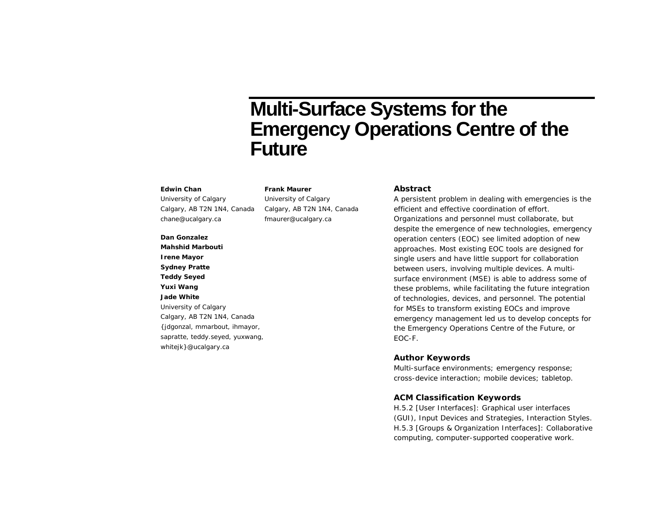# **Multi-Surface Systems for the Emergency Operations Centre of the Future**

#### **Edwin Chan**

University of Calgary Calgary, AB T2N 1N4, Canada chane@ucalgary.ca

University of Calgary Calgary, AB T2N 1N4, Canada fmaurer@ucalgary.ca

**Frank Maurer**

#### **Dan Gonzalez**

**Mahshid Marbouti Irene Mayor Sydney Pratte Teddy Seyed Yuxi Wang Jade White** University of Calgary Calgary, AB T2N 1N4, Canada {jdgonzal, mmarbout, ihmayor, sapratte, teddy.seyed, yuxwang, whitejk}@ucalgary.ca

#### **Abstract**

A persistent problem in dealing with emergencies is the efficient and effective coordination of effort. Organizations and personnel must collaborate, but despite the emergence of new technologies, emergency operation centers (EOC) see limited adoption of new approaches. Most existing EOC tools are designed for single users and have little support for collaboration between users, involving multiple devices. A multisurface environment (MSE) is able to address some of these problems, while facilitating the future integration of technologies, devices, and personnel. The potential for MSEs to transform existing EOCs and improve emergency management led us to develop concepts for the Emergency Operations Centre of the Future, or EOC-F.

### **Author Keywords**

Multi-surface environments; emergency response; cross-device interaction; mobile devices; tabletop.

#### **ACM Classification Keywords**

H.5.2 [User Interfaces]: Graphical user interfaces (GUI), Input Devices and Strategies, Interaction Styles. H.5.3 [Groups & Organization Interfaces]: Collaborative computing, computer-supported cooperative work.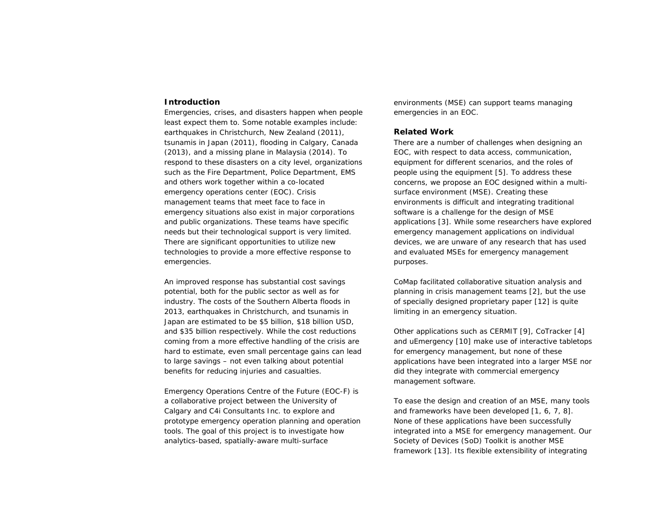## **Introduction**

Emergencies, crises, and disasters happen when people least expect them to. Some notable examples include: earthquakes in Christchurch, New Zealand (2011), tsunamis in Japan (2011), flooding in Calgary, Canada (2013), and a missing plane in Malaysia (2014). To respond to these disasters on a city level, organizations such as the Fire Department, Police Department, EMS and others work together within a co-located emergency operations center (EOC). Crisis management teams that meet face to face in emergency situations also exist in major corporations and public organizations. These teams have specific needs but their technological support is very limited. There are significant opportunities to utilize new technologies to provide a more effective response to emergencies.

An improved response has substantial cost savings potential, both for the public sector as well as for industry. The costs of the Southern Alberta floods in 2013, earthquakes in Christchurch, and tsunamis in Japan are estimated to be \$5 billion, \$18 billion USD, and \$35 billion respectively. While the cost reductions coming from a more effective handling of the crisis are hard to estimate, even small percentage gains can lead to large savings – not even talking about potential benefits for reducing injuries and casualties.

Emergency Operations Centre of the Future (EOC-F) is a collaborative project between the University of Calgary and C4i Consultants Inc. to explore and prototype emergency operation planning and operation tools. The goal of this project is to investigate how analytics-based, spatially-aware multi-surface

environments (MSE) can support teams managing emergencies in an EOC.

#### **Related Work**

There are a number of challenges when designing an EOC, with respect to data access, communication, equipment for different scenarios, and the roles of people using the equipment [5]. To address these concerns, we propose an EOC designed within a multisurface environment (MSE). Creating these environments is difficult and integrating traditional software is a challenge for the design of MSE applications [3]. While some researchers have explored emergency management applications on individual devices, we are unware of any research that has used and evaluated MSEs for emergency management purposes.

CoMap facilitated collaborative situation analysis and planning in crisis management teams [2], but the use of specially designed proprietary paper [12] is quite limiting in an emergency situation.

Other applications such as CERMIT [9], CoTracker [4] and uEmergency [10] make use of interactive tabletops for emergency management, but none of these applications have been integrated into a larger MSE nor did they integrate with commercial emergency management software.

To ease the design and creation of an MSE, many tools and frameworks have been developed [1, 6, 7, 8]. None of these applications have been successfully integrated into a MSE for emergency management. Our Society of Devices (SoD) Toolkit is another MSE framework [13]. Its flexible extensibility of integrating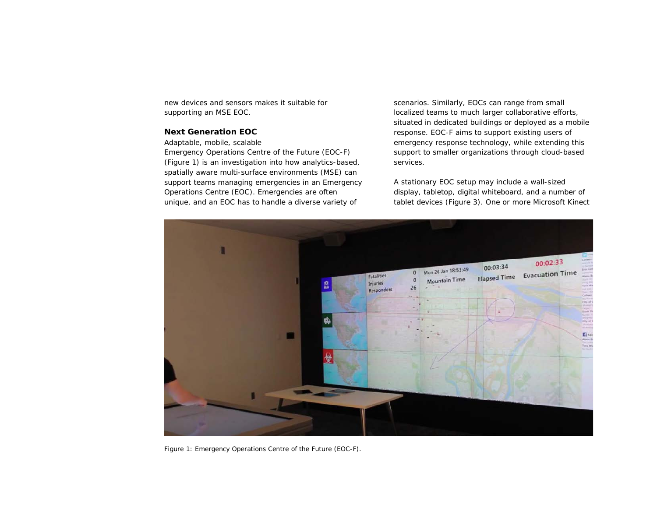new devices and sensors makes it suitable for supporting an MSE EOC.

# **Next Generation EOC**

#### *Adaptable, mobile, scalable*

Emergency Operations Centre of the Future (EOC-F) (Figure 1) is an investigation into how analytics-based, spatially aware multi-surface environments (MSE) can support teams managing emergencies in an Emergency Operations Centre (EOC). Emergencies are often unique, and an EOC has to handle a diverse variety of

scenarios. Similarly, EOCs can range from small localized teams to much larger collaborative efforts, situated in dedicated buildings or deployed as a mobile response. EOC-F aims to support existing users of emergency response technology, while extending this support to smaller organizations through cloud-based services.

A stationary EOC setup may include a wall-sized display, tabletop, digital whiteboard, and a number of tablet devices (Figure 3). One or more Microsoft Kinect



Figure 1: Emergency Operations Centre of the Future (EOC-F).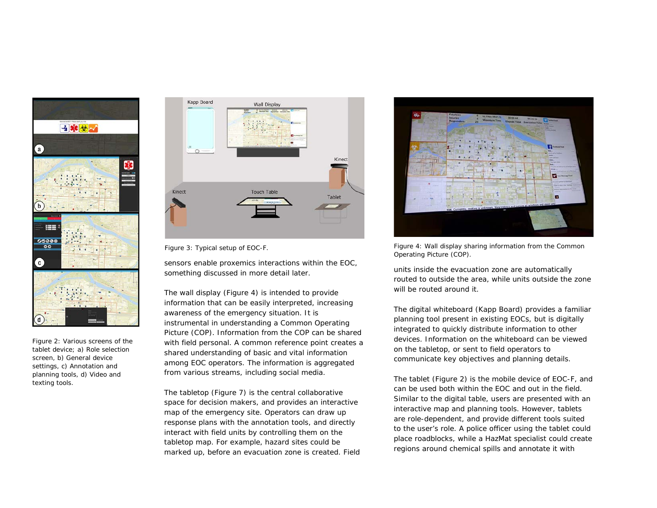

Figure 2: Various screens of the tablet device; a) Role selection screen, b) General device settings, c) Annotation and planning tools, d) Video and texting tools.



sensors enable proxemics interactions within the EOC, something discussed in more detail later.

The wall display (Figure 4) is intended to provide information that can be easily interpreted, increasing awareness of the emergency situation. It is instrumental in understanding a Common Operating Picture (COP). Information from the COP can be shared with field personal. A common reference point creates a shared understanding of basic and vital information among EOC operators. The information is aggregated from various streams, including social media.

The tabletop (Figure 7) is the central collaborative space for decision makers, and provides an interactive map of the emergency site. Operators can draw up response plans with the annotation tools, and directly interact with field units by controlling them on the tabletop map. For example, hazard sites could be marked up, before an evacuation zone is created. Field



Figure 3: Typical setup of EOC-F. Figure 4: Wall display sharing information from the Common Operating Picture (COP).

units inside the evacuation zone are automatically routed to outside the area, while units outside the zone will be routed around it.

The digital whiteboard (Kapp Board) provides a familiar planning tool present in existing EOCs, but is digitally integrated to quickly distribute information to other devices. Information on the whiteboard can be viewed on the tabletop, or sent to field operators to communicate key objectives and planning details.

The tablet (Figure 2) is the mobile device of EOC-F, and can be used both within the EOC and out in the field. Similar to the digital table, users are presented with an interactive map and planning tools. However, tablets are role-dependent, and provide different tools suited to the user's role. A police officer using the tablet could place roadblocks, while a HazMat specialist could create regions around chemical spills and annotate it with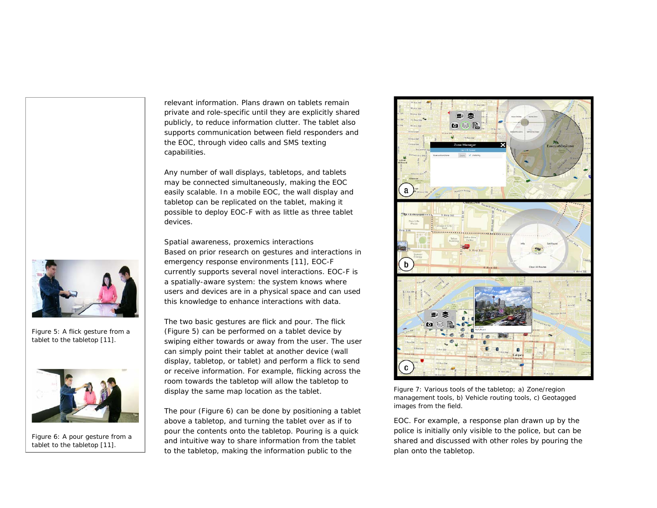

Figure 5: A *flick* gesture from a tablet to the tabletop [11].



Figure 6: A *pour* gesture from a tablet to the tabletop [11].

relevant information. Plans drawn on tablets remain private and role-specific until they are explicitly shared publicly, to reduce information clutter. The tablet also supports communication between field responders and the EOC, through video calls and SMS texting capabilities.

Any number of wall displays, tabletops, and tablets may be connected simultaneously, making the EOC easily scalable. In a mobile EOC, the wall display and tabletop can be replicated on the tablet, making it possible to deploy EOC-F with as little as three tablet devices.

*Spatial awareness, proxemics interactions* Based on prior research on gestures and interactions in emergency response environments [11], EOC-F currently supports several novel interactions. EOC-F is a spatially-aware system: the system knows where users and devices are in a physical space and can used this knowledge to enhance interactions with data.

The two basic gestures are *flick* and *pour*. The *flick* (Figure 5) can be performed on a tablet device by swiping either towards or away from the user. The user can simply point their tablet at another device (wall display, tabletop, or tablet) and perform a *flick* to send or receive information. For example, *flicking* across the room towards the tabletop will allow the tabletop to display the same map location as the tablet.

The *pour* (Figure 6) can be done by positioning a tablet above a tabletop, and turning the tablet over as if to pour the contents onto the tabletop. *Pouring* is a quick and intuitive way to share information from the tablet to the tabletop, making the information public to the



Figure 7: Various tools of the tabletop; a) Zone/region management tools, b) Vehicle routing tools, c) Geotagged images from the field.

EOC. For example, a response plan drawn up by the police is initially only visible to the police, but can be shared and discussed with other roles by *pouring* the plan onto the tabletop.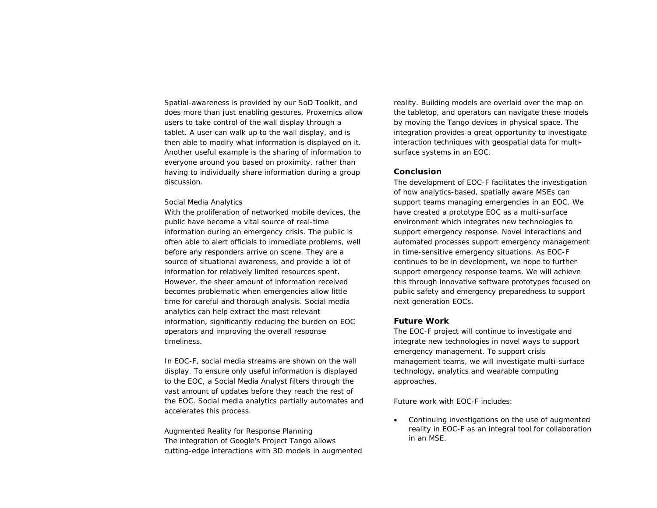Spatial-awareness is provided by our SoD Toolkit, and does more than just enabling gestures. Proxemics allow users to take control of the wall display through a tablet. A user can walk up to the wall display, and is then able to modify what information is displayed on it. Another useful example is the sharing of information to everyone around you based on proximity, rather than having to individually share information during a group discussion.

#### *Social Media Analytics*

With the proliferation of networked mobile devices, the public have become a vital source of real-time information during an emergency crisis. The public is often able to alert officials to immediate problems, well before any responders arrive on scene. They are a source of situational awareness, and provide a lot of information for relatively limited resources spent. However, the sheer amount of information received becomes problematic when emergencies allow little time for careful and thorough analysis. Social media analytics can help extract the most relevant information, significantly reducing the burden on EOC operators and improving the overall response timeliness.

In EOC-F, social media streams are shown on the wall display. To ensure only useful information is displayed to the EOC, a Social Media Analyst filters through the vast amount of updates before they reach the rest of the EOC. Social media analytics partially automates and accelerates this process.

*Augmented Reality for Response Planning* The integration of Google's Project Tango allows cutting-edge interactions with 3D models in augmented

reality. Building models are overlaid over the map on the tabletop, and operators can navigate these models by moving the Tango devices in physical space. The integration provides a great opportunity to investigate interaction techniques with geospatial data for multisurface systems in an EOC.

#### **Conclusion**

The development of EOC-F facilitates the investigation of how analytics-based, spatially aware MSEs can support teams managing emergencies in an EOC. We have created a prototype EOC as a multi-surface environment which integrates new technologies to support emergency response. Novel interactions and automated processes support emergency management in time-sensitive emergency situations. As EOC-F continues to be in development, we hope to further support emergency response teams. We will achieve this through innovative software prototypes focused on public safety and emergency preparedness to support next generation EOCs.

#### **Future Work**

The EOC-F project will continue to investigate and integrate new technologies in novel ways to support emergency management. To support crisis management teams, we will investigate multi-surface technology, analytics and wearable computing approaches.

Future work with EOC-F includes:

Continuing investigations on the use of augmented reality in EOC-F as an integral tool for collaboration in an MSE.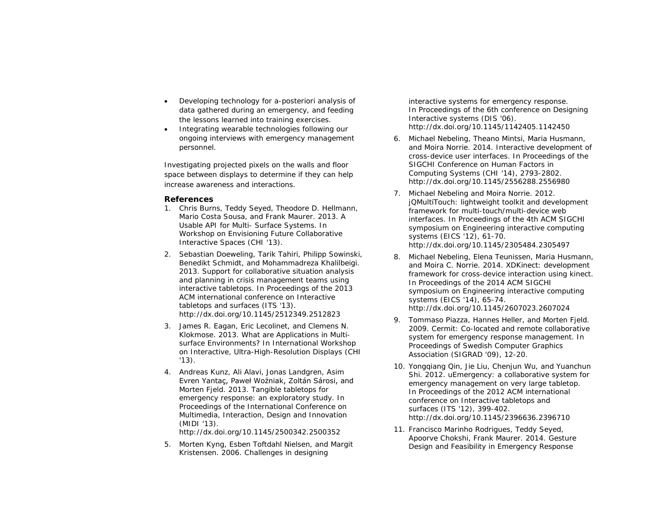- Developing technology for a-posteriori analysis of data gathered during an emergency, and feeding the lessons learned into training exercises.
- Integrating wearable technologies following our ongoing interviews with emergency management personnel.

Investigating projected pixels on the walls and floor space between displays to determine if they can help increase awareness and interactions.

## **References**

- 1. Chris Burns, Teddy Seyed, Theodore D. Hellmann, Mario Costa Sousa, and Frank Maurer. 2013. A Usable API for Multi- Surface Systems. In *Workshop on Envisioning Future Collaborative Interactive Spaces* (CHI '13).
- 2. Sebastian Doeweling, Tarik Tahiri, Philipp Sowinski, Benedikt Schmidt, and Mohammadreza Khalilbeigi. 2013. Support for collaborative situation analysis and planning in crisis management teams using interactive tabletops. In *Proceedings of the 2013 ACM international conference on Interactive tabletops and surfaces* (ITS '13). http://dx.doi.org/10.1145/2512349.2512823
- 3. James R. Eagan, Eric Lecolinet, and Clemens N. Klokmose. 2013. What are Applications in Multisurface Environments? In *International Workshop on Interactive, Ultra-High-Resolution Displays* (CHI '13).
- 4. Andreas Kunz, Ali Alavi, Jonas Landgren, Asim Evren Yantaç, Paweł Woźniak, Zoltán Sárosi, and Morten Fjeld. 2013. Tangible tabletops for emergency response: an exploratory study. *In Proceedings of the International Conference on Multimedia, Interaction, Design and Innovation* (MIDI '13).

http://dx.doi.org/10.1145/2500342.2500352

5. Morten Kyng, Esben Toftdahl Nielsen, and Margit Kristensen. 2006. Challenges in designing

interactive systems for emergency response. In *Proceedings of the 6th conference on Designing Interactive systems* (DIS '06). http://dx.doi.org/10.1145/1142405.1142450

- 6. Michael Nebeling, Theano Mintsi, Maria Husmann, and Moira Norrie. 2014. Interactive development of cross-device user interfaces. In *Proceedings of the SIGCHI Conference on Human Factors in Computing Systems* (CHI '14), 2793-2802. http://dx.doi.org/10.1145/2556288.2556980
- 7. Michael Nebeling and Moira Norrie. 2012. jQMultiTouch: lightweight toolkit and development framework for multi-touch/multi-device web interfaces. In *Proceedings of the 4th ACM SIGCHI symposium on Engineering interactive computing systems* (EICS '12), 61-70. http://dx.doi.org/10.1145/2305484.2305497
- 8. Michael Nebeling, Elena Teunissen, Maria Husmann, and Moira C. Norrie. 2014. XDKinect: development framework for cross-device interaction using kinect. In *Proceedings of the 2014 ACM SIGCHI symposium on Engineering interactive computing systems* (EICS '14), 65-74. http://dx.doi.org/10.1145/2607023.2607024
- 9. Tommaso Piazza, Hannes Heller, and Morten Fjeld. 2009. Cermit: Co-located and remote collaborative system for emergency response management. In *Proceedings of Swedish Computer Graphics Association* (SIGRAD '09), 12-20.
- 10. Yongqiang Qin, Jie Liu, Chenjun Wu, and Yuanchun Shi. 2012. uEmergency: a collaborative system for emergency management on very large tabletop. In *Proceedings of the 2012 ACM international conference on Interactive tabletops and surfaces* (ITS '12), 399-402. http://dx.doi.org/10.1145/2396636.2396710
- 11. Francisco Marinho Rodrigues, Teddy Seyed, Apoorve Chokshi, Frank Maurer. 2014. Gesture Design and Feasibility in Emergency Response